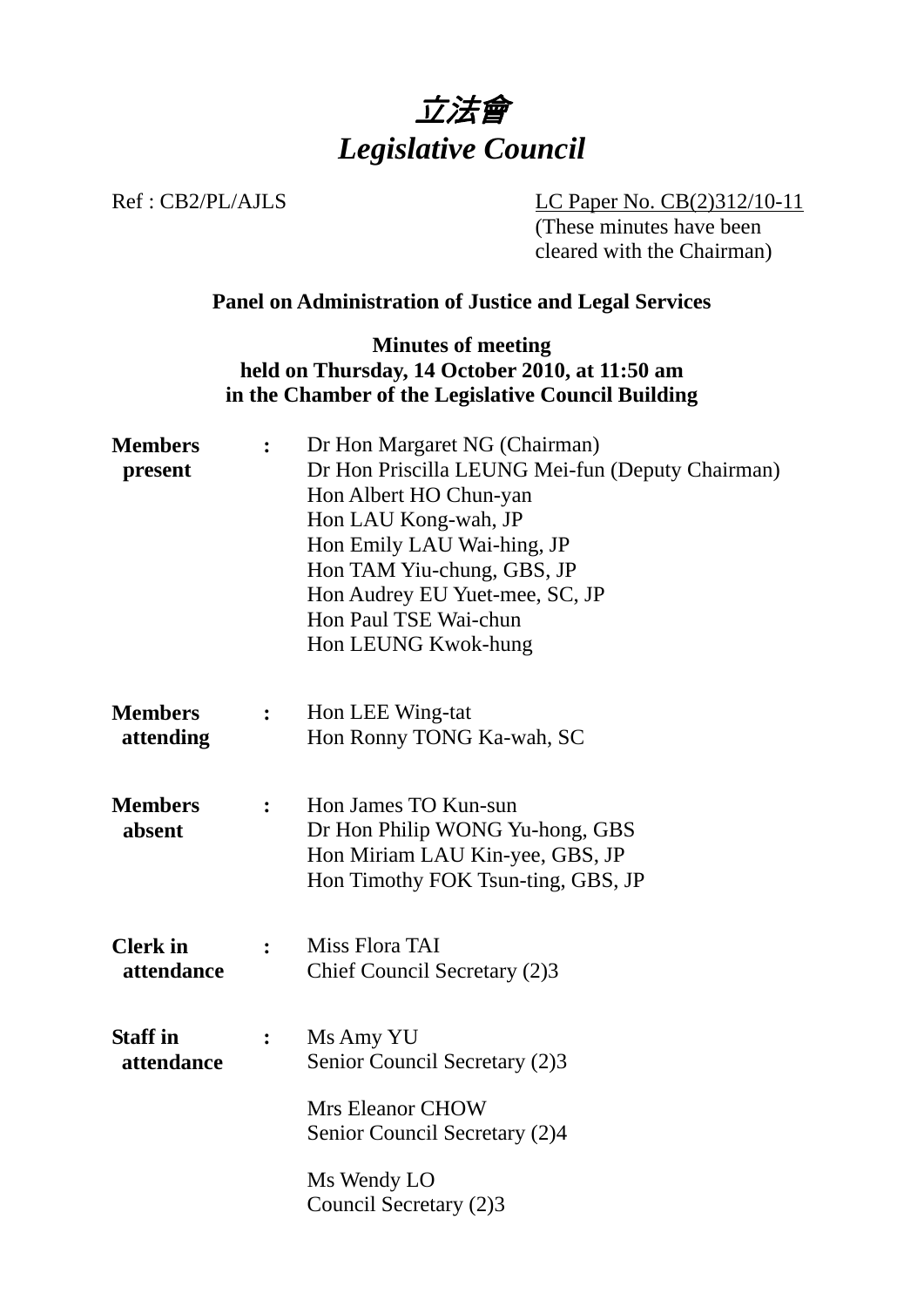

Ref : CB2/PL/AJLS LC Paper No. CB(2)312/10-11 (These minutes have been cleared with the Chairman)

# **Panel on Administration of Justice and Legal Services**

#### **Minutes of meeting held on Thursday, 14 October 2010, at 11:50 am in the Chamber of the Legislative Council Building**

| <b>Members</b><br>present     | $\ddot{\cdot}$   | Dr Hon Margaret NG (Chairman)<br>Dr Hon Priscilla LEUNG Mei-fun (Deputy Chairman)<br>Hon Albert HO Chun-yan<br>Hon LAU Kong-wah, JP<br>Hon Emily LAU Wai-hing, JP<br>Hon TAM Yiu-chung, GBS, JP<br>Hon Audrey EU Yuet-mee, SC, JP<br>Hon Paul TSE Wai-chun<br>Hon LEUNG Kwok-hung |
|-------------------------------|------------------|-----------------------------------------------------------------------------------------------------------------------------------------------------------------------------------------------------------------------------------------------------------------------------------|
| <b>Members</b><br>attending   | $\ddot{\bullet}$ | Hon LEE Wing-tat<br>Hon Ronny TONG Ka-wah, SC                                                                                                                                                                                                                                     |
| <b>Members</b><br>absent      | $\ddot{\cdot}$   | Hon James TO Kun-sun<br>Dr Hon Philip WONG Yu-hong, GBS<br>Hon Miriam LAU Kin-yee, GBS, JP<br>Hon Timothy FOK Tsun-ting, GBS, JP                                                                                                                                                  |
| <b>Clerk</b> in<br>attendance | $\mathbf{L}$     | Miss Flora TAI<br>Chief Council Secretary (2)3                                                                                                                                                                                                                                    |
| <b>Staff</b> in<br>attendance |                  | Ms Amy YU<br>Senior Council Secretary (2)3                                                                                                                                                                                                                                        |
|                               |                  | <b>Mrs Eleanor CHOW</b><br>Senior Council Secretary (2)4                                                                                                                                                                                                                          |
|                               |                  | Ms Wendy LO<br>Council Secretary (2)3                                                                                                                                                                                                                                             |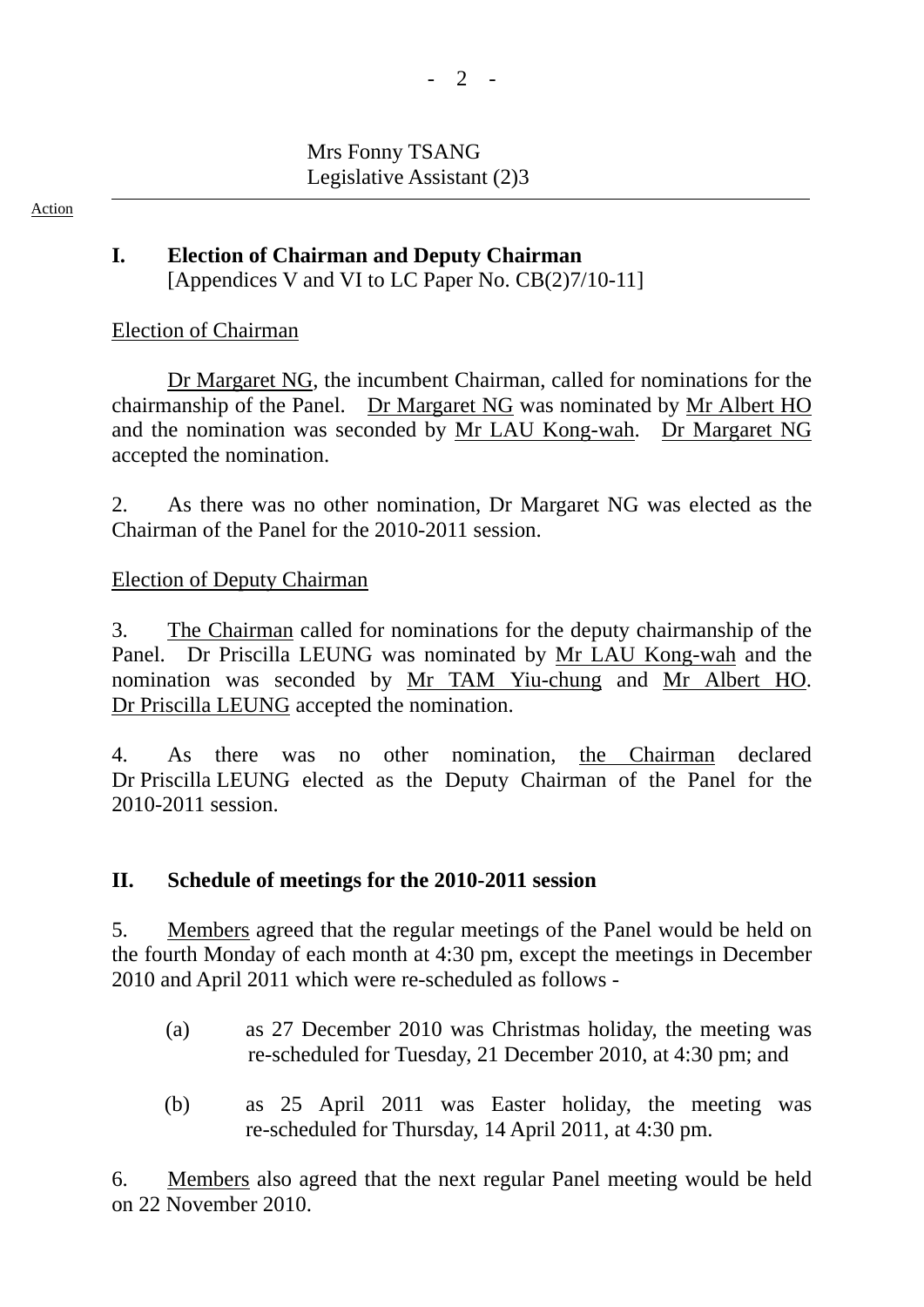# Mrs Fonny TSANG Legislative Assistant (2)3

Action

### **I. Election of Chairman and Deputy Chairman**  [Appendices V and VI to LC Paper No. CB(2)7/10-11]

# Election of Chairman

1. Dr Margaret NG, the incumbent Chairman, called for nominations for the chairmanship of the Panel. Dr Margaret NG was nominated by Mr Albert HO and the nomination was seconded by Mr LAU Kong-wah. Dr Margaret NG accepted the nomination.

2. As there was no other nomination, Dr Margaret NG was elected as the Chairman of the Panel for the 2010-2011 session.

#### Election of Deputy Chairman

3. The Chairman called for nominations for the deputy chairmanship of the Panel. Dr Priscilla LEUNG was nominated by Mr LAU Kong-wah and the nomination was seconded by Mr TAM Yiu-chung and Mr Albert HO. Dr Priscilla LEUNG accepted the nomination.

4. As there was no other nomination, the Chairman declared Dr Priscilla LEUNG elected as the Deputy Chairman of the Panel for the 2010-2011 session.

# **II. Schedule of meetings for the 2010-2011 session**

5. Members agreed that the regular meetings of the Panel would be held on the fourth Monday of each month at 4:30 pm, except the meetings in December 2010 and April 2011 which were re-scheduled as follows -

- (a) as 27 December 2010 was Christmas holiday, the meeting was re-scheduled for Tuesday, 21 December 2010, at 4:30 pm; and
- (b) as 25 April 2011 was Easter holiday, the meeting was re-scheduled for Thursday, 14 April 2011, at 4:30 pm.

6. Members also agreed that the next regular Panel meeting would be held on 22 November 2010.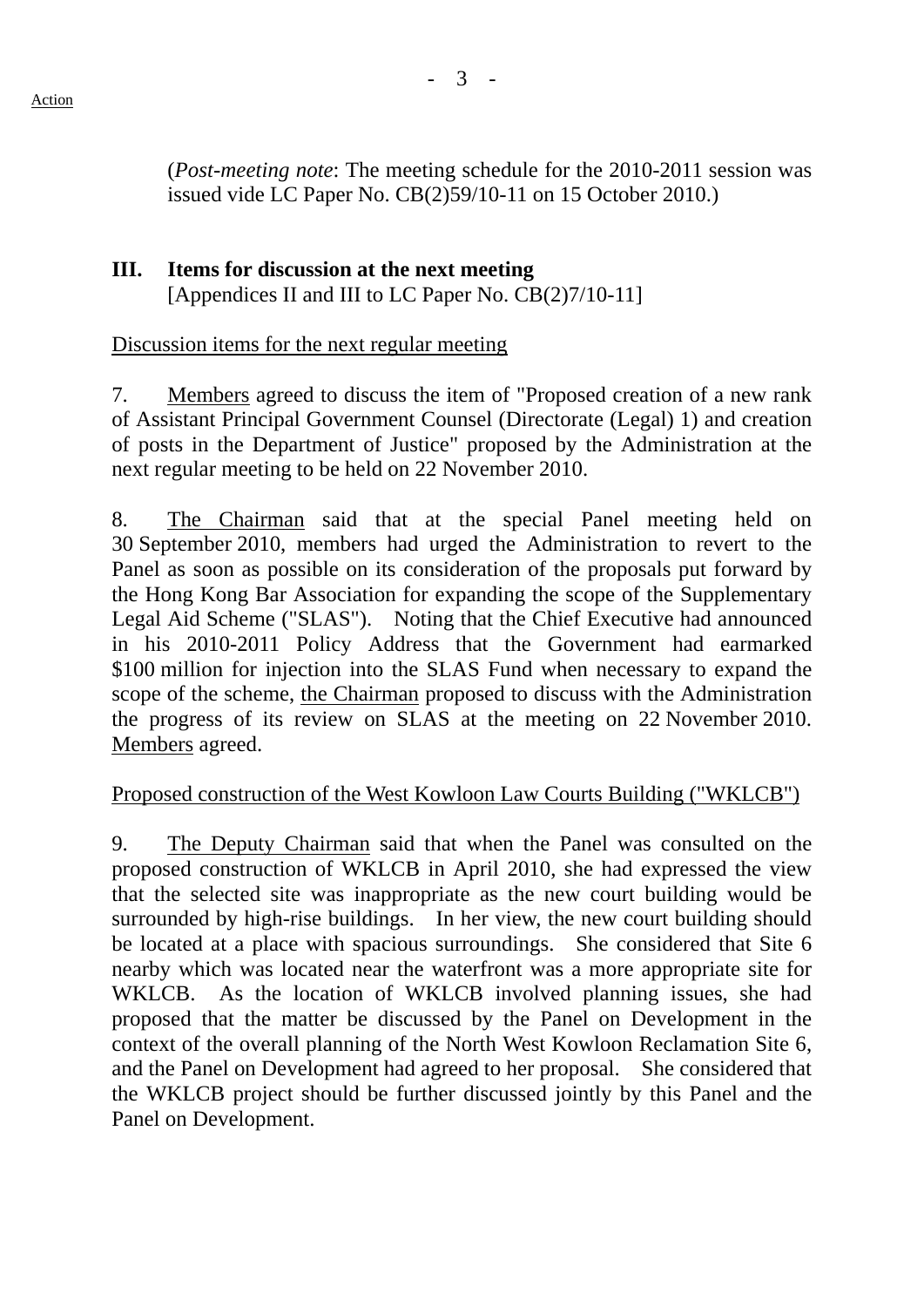(*Post-meeting note*: The meeting schedule for the 2010-2011 session was issued vide LC Paper No. CB(2)59/10-11 on 15 October 2010.)

### **III. Items for discussion at the next meeting**  [Appendices II and III to LC Paper No. CB(2)7/10-11]

#### Discussion items for the next regular meeting

7. Members agreed to discuss the item of "Proposed creation of a new rank of Assistant Principal Government Counsel (Directorate (Legal) 1) and creation of posts in the Department of Justice" proposed by the Administration at the next regular meeting to be held on 22 November 2010.

8. The Chairman said that at the special Panel meeting held on 30 September 2010, members had urged the Administration to revert to the Panel as soon as possible on its consideration of the proposals put forward by the Hong Kong Bar Association for expanding the scope of the Supplementary Legal Aid Scheme ("SLAS"). Noting that the Chief Executive had announced in his 2010-2011 Policy Address that the Government had earmarked \$100 million for injection into the SLAS Fund when necessary to expand the scope of the scheme, the Chairman proposed to discuss with the Administration the progress of its review on SLAS at the meeting on 22 November 2010. Members agreed.

# Proposed construction of the West Kowloon Law Courts Building ("WKLCB")

9. The Deputy Chairman said that when the Panel was consulted on the proposed construction of WKLCB in April 2010, she had expressed the view that the selected site was inappropriate as the new court building would be surrounded by high-rise buildings. In her view, the new court building should be located at a place with spacious surroundings. She considered that Site 6 nearby which was located near the waterfront was a more appropriate site for WKLCB. As the location of WKLCB involved planning issues, she had proposed that the matter be discussed by the Panel on Development in the context of the overall planning of the North West Kowloon Reclamation Site 6, and the Panel on Development had agreed to her proposal. She considered that the WKLCB project should be further discussed jointly by this Panel and the Panel on Development.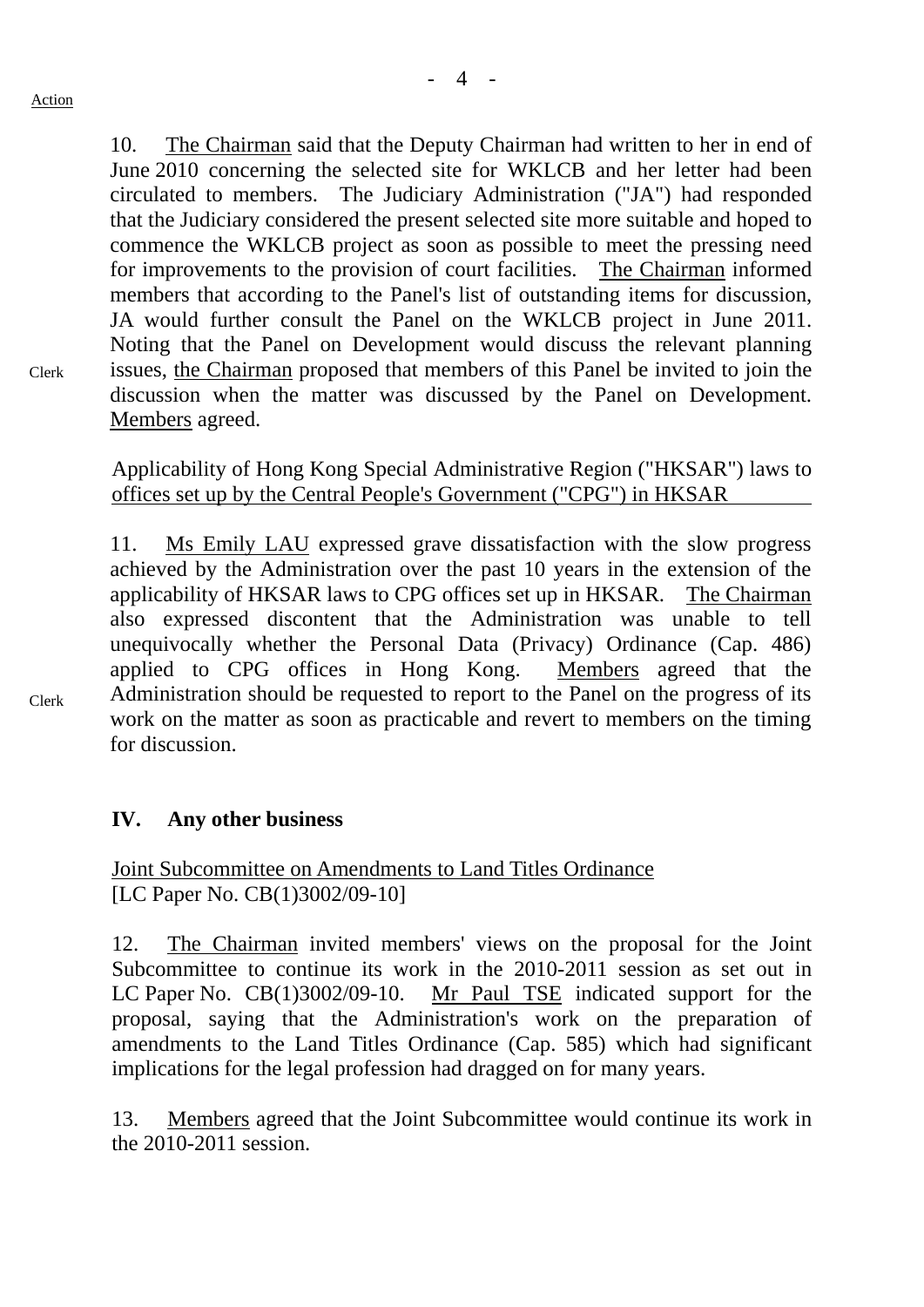10. The Chairman said that the Deputy Chairman had written to her in end of June 2010 concerning the selected site for WKLCB and her letter had been

Clerk

circulated to members. The Judiciary Administration ("JA") had responded that the Judiciary considered the present selected site more suitable and hoped to commence the WKLCB project as soon as possible to meet the pressing need for improvements to the provision of court facilities. The Chairman informed members that according to the Panel's list of outstanding items for discussion, JA would further consult the Panel on the WKLCB project in June 2011. Noting that the Panel on Development would discuss the relevant planning issues, the Chairman proposed that members of this Panel be invited to join the discussion when the matter was discussed by the Panel on Development. Members agreed.

Applicability of Hong Kong Special Administrative Region ("HKSAR") laws to offices set up by the Central People's Government ("CPG") in HKSAR

11. Ms Emily LAU expressed grave dissatisfaction with the slow progress achieved by the Administration over the past 10 years in the extension of the applicability of HKSAR laws to CPG offices set up in HKSAR. The Chairman also expressed discontent that the Administration was unable to tell unequivocally whether the Personal Data (Privacy) Ordinance (Cap. 486) applied to CPG offices in Hong Kong. Members agreed that the Administration should be requested to report to the Panel on the progress of its work on the matter as soon as practicable and revert to members on the timing for discussion.

# **IV. Any other business**

Joint Subcommittee on Amendments to Land Titles Ordinance [LC Paper No. CB(1)3002/09-10]

12. The Chairman invited members' views on the proposal for the Joint Subcommittee to continue its work in the 2010-2011 session as set out in LC Paper No. CB(1)3002/09-10. Mr Paul TSE indicated support for the proposal, saying that the Administration's work on the preparation of amendments to the Land Titles Ordinance (Cap. 585) which had significant implications for the legal profession had dragged on for many years.

13. Members agreed that the Joint Subcommittee would continue its work in the 2010-2011 session.

Clerk